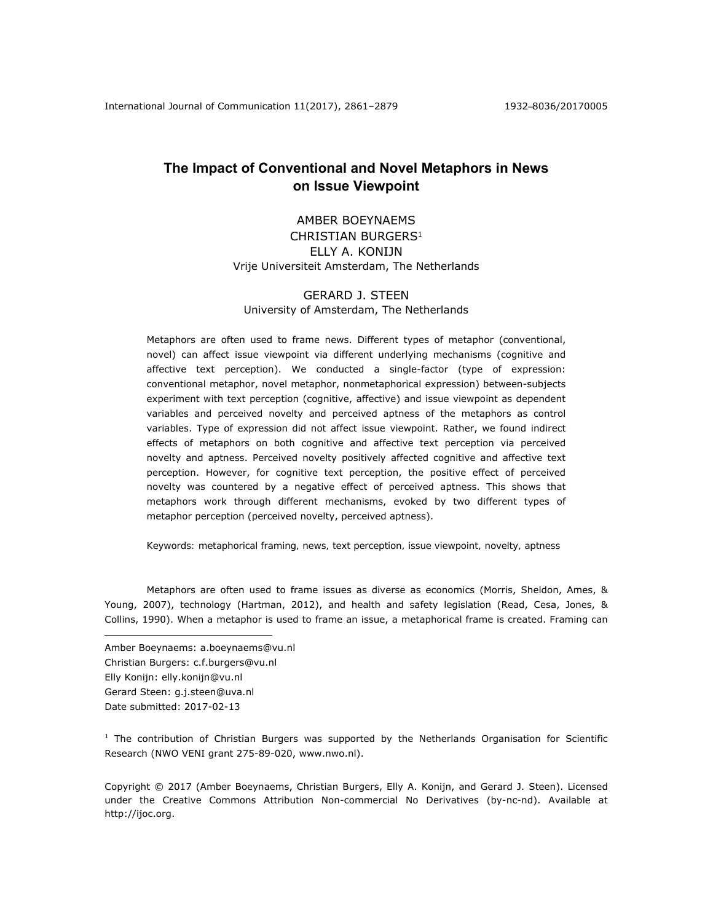International Journal of Communication 11(2017), 2861–2879 1932–8036/20170005

# **The Impact of Conventional and Novel Metaphors in News on Issue Viewpoint**

## AMBER BOEYNAEMS CHRISTIAN BURGERS<sup>1</sup> ELLY A. KONIJN Vrije Universiteit Amsterdam, The Netherlands

## GERARD J. STEEN University of Amsterdam, The Netherlands

Metaphors are often used to frame news. Different types of metaphor (conventional, novel) can affect issue viewpoint via different underlying mechanisms (cognitive and affective text perception). We conducted a single-factor (type of expression: conventional metaphor, novel metaphor, nonmetaphorical expression) between-subjects experiment with text perception (cognitive, affective) and issue viewpoint as dependent variables and perceived novelty and perceived aptness of the metaphors as control variables. Type of expression did not affect issue viewpoint. Rather, we found indirect effects of metaphors on both cognitive and affective text perception via perceived novelty and aptness. Perceived novelty positively affected cognitive and affective text perception. However, for cognitive text perception, the positive effect of perceived novelty was countered by a negative effect of perceived aptness. This shows that metaphors work through different mechanisms, evoked by two different types of metaphor perception (perceived novelty, perceived aptness).

*Keywords: metaphorical framing, news, text perception, issue viewpoint, novelty, aptness* 

Metaphors are often used to frame issues as diverse as economics (Morris, Sheldon, Ames, & Young, 2007), technology (Hartman, 2012), and health and safety legislation (Read, Cesa, Jones, & Collins, 1990). When a metaphor is used to frame an issue, a metaphorical frame is created. Framing can

Amber Boeynaems: a.boeynaems@vu.nl Christian Burgers: c.f.burgers@vu.nl Elly Konijn: elly.konijn@vu.nl Gerard Steen: g.j.steen@uva.nl Date submitted: 2017-02-13

 $\overline{a}$ 

 $1$  The contribution of Christian Burgers was supported by the Netherlands Organisation for Scientific Research (NWO VENI grant 275-89-020, www.nwo.nl).

Copyright © 2017 (Amber Boeynaems, Christian Burgers, Elly A. Konijn, and Gerard J. Steen). Licensed under the Creative Commons Attribution Non-commercial No Derivatives (by-nc-nd). Available at http://ijoc.org.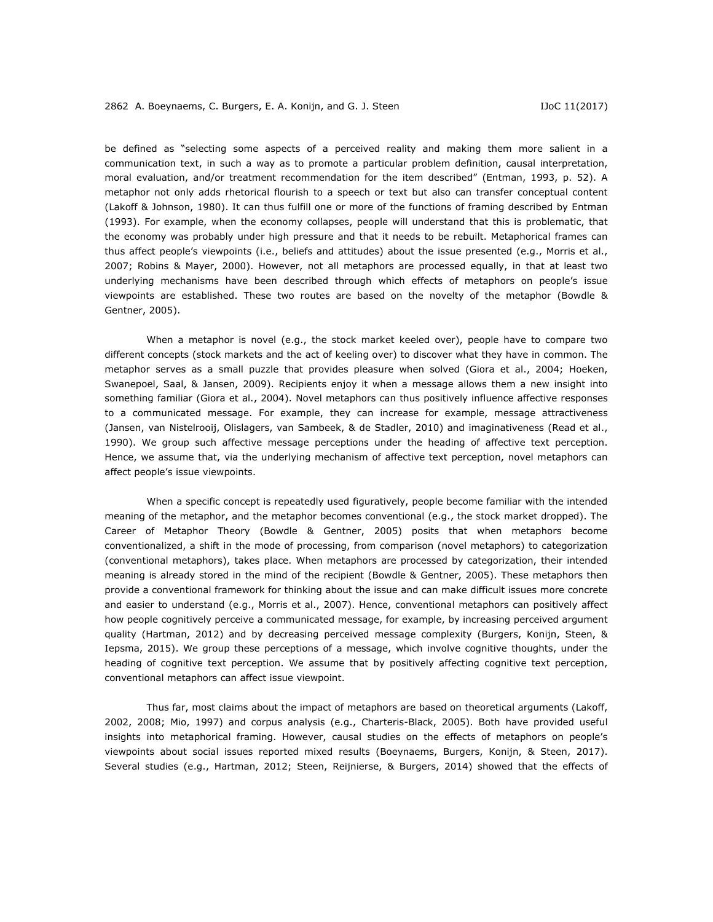be defined as "selecting some aspects of a perceived reality and making them more salient in a communication text, in such a way as to promote a particular problem definition, causal interpretation, moral evaluation, and/or treatment recommendation for the item described" (Entman, 1993, p. 52). A metaphor not only adds rhetorical flourish to a speech or text but also can transfer conceptual content (Lakoff & Johnson, 1980). It can thus fulfill one or more of the functions of framing described by Entman (1993). For example, when the economy *collapses*, people will understand that this is problematic, that the economy was probably under high pressure and that it needs to be rebuilt. Metaphorical frames can thus affect people's viewpoints (i.e., beliefs and attitudes) about the issue presented (e.g., Morris et al., 2007; Robins & Mayer, 2000). However, not all metaphors are processed equally, in that at least two underlying mechanisms have been described through which effects of metaphors on people's issue viewpoints are established. These two routes are based on the novelty of the metaphor (Bowdle & Gentner, 2005).

When a metaphor is novel (e.g., *the stock market keeled over*), people have to compare two different concepts (stock markets and the act of keeling over) to discover what they have in common. The metaphor serves as a small puzzle that provides pleasure when solved (Giora et al., 2004; Hoeken, Swanepoel, Saal, & Jansen, 2009). Recipients enjoy it when a message allows them a new insight into something familiar (Giora et al., 2004). Novel metaphors can thus positively influence affective responses to a communicated message. For example, they can increase for example, message attractiveness (Jansen, van Nistelrooij, Olislagers, van Sambeek, & de Stadler, 2010) and imaginativeness (Read et al., 1990). We group such affective message perceptions under the heading of affective text perception. Hence, we assume that, via the underlying mechanism of affective text perception, novel metaphors can affect people's issue viewpoints.

When a specific concept is repeatedly used figuratively, people become familiar with the intended meaning of the metaphor, and the metaphor becomes conventional (e.g., *the stock market dropped*). The Career of Metaphor Theory (Bowdle & Gentner, 2005) posits that when metaphors become conventionalized, a shift in the mode of processing, from comparison (novel metaphors) to categorization (conventional metaphors), takes place. When metaphors are processed by categorization, their intended meaning is already stored in the mind of the recipient (Bowdle & Gentner, 2005). These metaphors then provide a conventional framework for thinking about the issue and can make difficult issues more concrete and easier to understand (e.g., Morris et al., 2007). Hence, conventional metaphors can positively affect how people cognitively perceive a communicated message, for example, by increasing perceived argument quality (Hartman, 2012) and by decreasing perceived message complexity (Burgers, Konijn, Steen, & Iepsma, 2015). We group these perceptions of a message, which involve cognitive thoughts, under the heading of cognitive text perception. We assume that by positively affecting cognitive text perception, conventional metaphors can affect issue viewpoint.

Thus far, most claims about the impact of metaphors are based on theoretical arguments (Lakoff, 2002, 2008; Mio, 1997) and corpus analysis (e.g., Charteris-Black, 2005). Both have provided useful insights into metaphorical framing. However, causal studies on the effects of metaphors on people's viewpoints about social issues reported mixed results (Boeynaems, Burgers, Konijn, & Steen, 2017). Several studies (e.g., Hartman, 2012; Steen, Reijnierse, & Burgers, 2014) showed that the effects of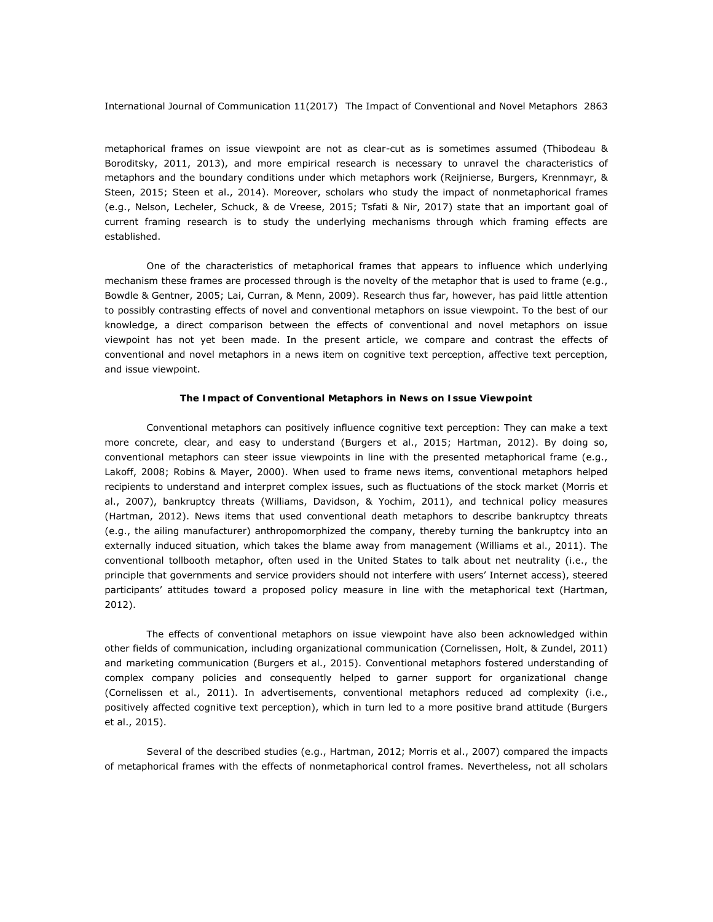metaphorical frames on issue viewpoint are not as clear-cut as is sometimes assumed (Thibodeau & Boroditsky, 2011, 2013), and more empirical research is necessary to unravel the characteristics of metaphors and the boundary conditions under which metaphors work (Reijnierse, Burgers, Krennmayr, & Steen, 2015; Steen et al., 2014). Moreover, scholars who study the impact of nonmetaphorical frames (e.g., Nelson, Lecheler, Schuck, & de Vreese, 2015; Tsfati & Nir, 2017) state that an important goal of current framing research is to study the underlying mechanisms through which framing effects are established.

One of the characteristics of metaphorical frames that appears to influence which underlying mechanism these frames are processed through is the novelty of the metaphor that is used to frame (e.g., Bowdle & Gentner, 2005; Lai, Curran, & Menn, 2009). Research thus far, however, has paid little attention to possibly contrasting effects of novel and conventional metaphors on issue viewpoint. To the best of our knowledge, a direct comparison between the effects of conventional and novel metaphors on issue viewpoint has not yet been made. In the present article, we compare and contrast the effects of conventional and novel metaphors in a news item on cognitive text perception, affective text perception, and issue viewpoint.

#### **The Impact of Conventional Metaphors in News on Issue Viewpoint**

Conventional metaphors can positively influence cognitive text perception: They can make a text more concrete, clear, and easy to understand (Burgers et al., 2015; Hartman, 2012). By doing so, conventional metaphors can steer issue viewpoints in line with the presented metaphorical frame (e.g., Lakoff, 2008; Robins & Mayer, 2000). When used to frame news items, conventional metaphors helped recipients to understand and interpret complex issues, such as fluctuations of the stock market (Morris et al., 2007), bankruptcy threats (Williams, Davidson, & Yochim, 2011), and technical policy measures (Hartman, 2012). News items that used conventional death metaphors to describe bankruptcy threats (e.g., *the ailing manufacturer*) anthropomorphized the company, thereby turning the bankruptcy into an externally induced situation, which takes the blame away from management (Williams et al., 2011). The conventional tollbooth metaphor, often used in the United States to talk about net neutrality (i.e., the principle that governments and service providers should not interfere with users' Internet access), steered participants' attitudes toward a proposed policy measure in line with the metaphorical text (Hartman, 2012).

The effects of conventional metaphors on issue viewpoint have also been acknowledged within other fields of communication, including organizational communication (Cornelissen, Holt, & Zundel, 2011) and marketing communication (Burgers et al., 2015). Conventional metaphors fostered understanding of complex company policies and consequently helped to garner support for organizational change (Cornelissen et al., 2011). In advertisements, conventional metaphors reduced ad complexity (i.e., positively affected cognitive text perception), which in turn led to a more positive brand attitude (Burgers et al., 2015).

Several of the described studies (e.g., Hartman, 2012; Morris et al., 2007) compared the impacts of metaphorical frames with the effects of nonmetaphorical control frames. Nevertheless, not all scholars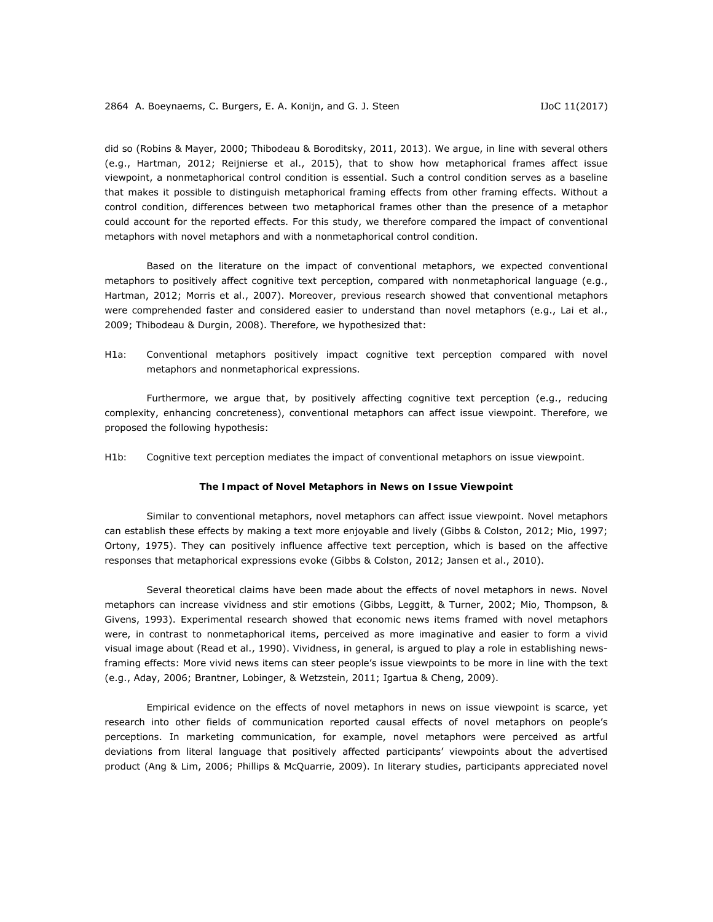did so (Robins & Mayer, 2000; Thibodeau & Boroditsky, 2011, 2013). We argue, in line with several others (e.g., Hartman, 2012; Reijnierse et al., 2015), that to show how metaphorical frames affect issue viewpoint, a nonmetaphorical control condition is essential. Such a control condition serves as a baseline that makes it possible to distinguish metaphorical framing effects from other framing effects. Without a control condition, differences between two metaphorical frames other than the presence of a metaphor could account for the reported effects. For this study, we therefore compared the impact of conventional metaphors with novel metaphors and with a nonmetaphorical control condition.

Based on the literature on the impact of conventional metaphors, we expected conventional metaphors to positively affect cognitive text perception, compared with nonmetaphorical language (e.g., Hartman, 2012; Morris et al., 2007). Moreover, previous research showed that conventional metaphors were comprehended faster and considered easier to understand than novel metaphors (e.g., Lai et al., 2009; Thibodeau & Durgin, 2008). Therefore, we hypothesized that:

*H1a: Conventional metaphors positively impact cognitive text perception compared with novel metaphors and nonmetaphorical expressions.* 

Furthermore, we argue that, by positively affecting cognitive text perception (e.g., reducing complexity, enhancing concreteness), conventional metaphors can affect issue viewpoint. Therefore, we proposed the following hypothesis:

*H1b: Cognitive text perception mediates the impact of conventional metaphors on issue viewpoint.* 

## **The Impact of Novel Metaphors in News on Issue Viewpoint**

Similar to conventional metaphors, novel metaphors can affect issue viewpoint. Novel metaphors can establish these effects by making a text more enjoyable and lively (Gibbs & Colston, 2012; Mio, 1997; Ortony, 1975). They can positively influence affective text perception, which is based on the affective responses that metaphorical expressions evoke (Gibbs & Colston, 2012; Jansen et al., 2010).

Several theoretical claims have been made about the effects of novel metaphors in news. Novel metaphors can increase vividness and stir emotions (Gibbs, Leggitt, & Turner, 2002; Mio, Thompson, & Givens, 1993). Experimental research showed that economic news items framed with novel metaphors were, in contrast to nonmetaphorical items, perceived as more imaginative and easier to form a vivid visual image about (Read et al., 1990). Vividness, in general, is argued to play a role in establishing newsframing effects: More vivid news items can steer people's issue viewpoints to be more in line with the text (e.g., Aday, 2006; Brantner, Lobinger, & Wetzstein, 2011; Igartua & Cheng, 2009).

Empirical evidence on the effects of novel metaphors in news on issue viewpoint is scarce, yet research into other fields of communication reported causal effects of novel metaphors on people's perceptions. In marketing communication, for example, novel metaphors were perceived as artful deviations from literal language that positively affected participants' viewpoints about the advertised product (Ang & Lim, 2006; Phillips & McQuarrie, 2009). In literary studies, participants appreciated novel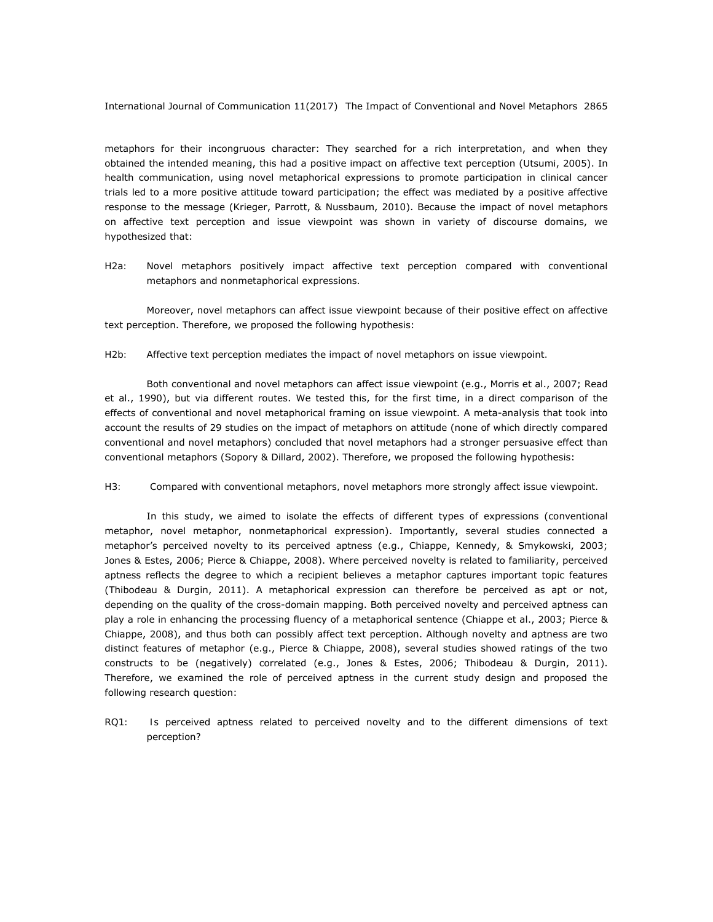metaphors for their incongruous character: They searched for a rich interpretation, and when they obtained the intended meaning, this had a positive impact on affective text perception (Utsumi, 2005). In health communication, using novel metaphorical expressions to promote participation in clinical cancer trials led to a more positive attitude toward participation; the effect was mediated by a positive affective response to the message (Krieger, Parrott, & Nussbaum, 2010). Because the impact of novel metaphors on affective text perception and issue viewpoint was shown in variety of discourse domains, we hypothesized that:

## H2a: Novel metaphors positively impact affective text perception compared with conventional *metaphors and nonmetaphorical expressions.*

Moreover, novel metaphors can affect issue viewpoint because of their positive effect on affective text perception. Therefore, we proposed the following hypothesis:

## H<sub>2b:</sub> Affective text perception mediates the impact of novel metaphors on issue viewpoint.

Both conventional and novel metaphors can affect issue viewpoint (e.g., Morris et al., 2007; Read et al., 1990), but via different routes. We tested this, for the first time, in a direct comparison of the effects of conventional and novel metaphorical framing on issue viewpoint. A meta-analysis that took into account the results of 29 studies on the impact of metaphors on attitude (none of which directly compared conventional and novel metaphors) concluded that novel metaphors had a stronger persuasive effect than conventional metaphors (Sopory & Dillard, 2002). Therefore, we proposed the following hypothesis:

### H3: Compared with conventional metaphors, novel metaphors more strongly affect issue viewpoint.

In this study, we aimed to isolate the effects of different types of expressions (conventional metaphor, novel metaphor, nonmetaphorical expression). Importantly, several studies connected a metaphor's perceived novelty to its perceived aptness (e.g., Chiappe, Kennedy, & Smykowski, 2003; Jones & Estes, 2006; Pierce & Chiappe, 2008). Where perceived novelty is related to familiarity, perceived aptness reflects the degree to which a recipient believes a metaphor captures important topic features (Thibodeau & Durgin, 2011). A metaphorical expression can therefore be perceived as apt or not, depending on the quality of the cross-domain mapping. Both perceived novelty and perceived aptness can play a role in enhancing the processing fluency of a metaphorical sentence (Chiappe et al., 2003; Pierce & Chiappe, 2008), and thus both can possibly affect text perception. Although novelty and aptness are two distinct features of metaphor (e.g., Pierce & Chiappe, 2008), several studies showed ratings of the two constructs to be (negatively) correlated (e.g., Jones & Estes, 2006; Thibodeau & Durgin, 2011). Therefore, we examined the role of perceived aptness in the current study design and proposed the following research question:

*RQ1: Is perceived aptness related to perceived novelty and to the different dimensions of text perception?*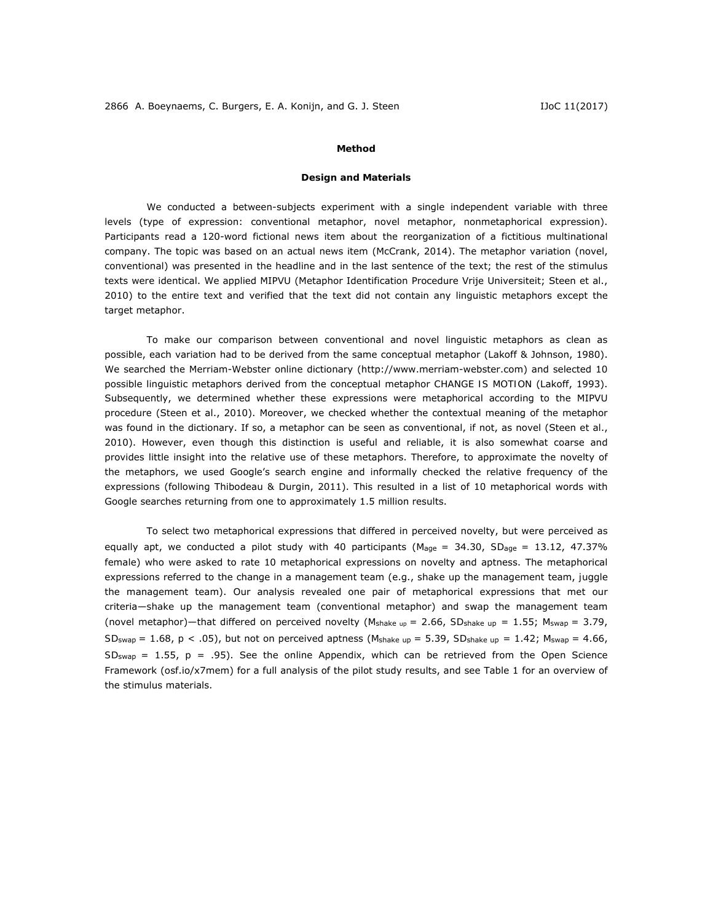### **Method**

### *Design and Materials*

We conducted a between-subjects experiment with a single independent variable with three levels (type of expression: conventional metaphor, novel metaphor, nonmetaphorical expression). Participants read a 120-word fictional news item about the reorganization of a fictitious multinational company. The topic was based on an actual news item (McCrank, 2014). The metaphor variation (novel, conventional) was presented in the headline and in the last sentence of the text; the rest of the stimulus texts were identical. We applied MIPVU (Metaphor Identification Procedure Vrije Universiteit; Steen et al., 2010) to the entire text and verified that the text did not contain any linguistic metaphors except the target metaphor.

To make our comparison between conventional and novel linguistic metaphors as clean as possible, each variation had to be derived from the same conceptual metaphor (Lakoff & Johnson, 1980). We searched the Merriam-Webster online dictionary (http://www.merriam-webster.com) and selected 10 possible linguistic metaphors derived from the conceptual metaphor *CHANGE IS MOTION* (Lakoff, 1993). Subsequently, we determined whether these expressions were metaphorical according to the MIPVU procedure (Steen et al., 2010). Moreover, we checked whether the contextual meaning of the metaphor was found in the dictionary. If so, a metaphor can be seen as conventional, if not, as novel (Steen et al., 2010). However, even though this distinction is useful and reliable, it is also somewhat coarse and provides little insight into the relative use of these metaphors. Therefore, to approximate the novelty of the metaphors, we used Google's search engine and informally checked the relative frequency of the expressions (following Thibodeau & Durgin, 2011). This resulted in a list of 10 metaphorical words with Google searches returning from one to approximately 1.5 million results.

To select two metaphorical expressions that differed in perceived novelty, but were perceived as equally apt, we conducted a pilot study with 40 participants ( $M_{\text{age}} = 34.30$ ,  $SD_{\text{age}} = 13.12$ , 47.37% female) who were asked to rate 10 metaphorical expressions on novelty and aptness. The metaphorical expressions referred to the change in a management team (e.g., *shake up* the management team, *juggle*  the management team). Our analysis revealed one pair of metaphorical expressions that met our criteria—*shake up* the management team (conventional metaphor) and *swap* the management team (novel metaphor)—that differed on perceived novelty ( $M_{\text{shake up}} = 2.66$ ,  $SD_{\text{shake up}} = 1.55$ ;  $M_{\text{swap}} = 3.79$ ,  $SD_{swap} = 1.68$ ,  $p < .05$ ), but not on perceived aptness (*M*shake up = 5.39, *SD*shake up = 1.42; *Mswap* = 4.66,  $SD_{swap} = 1.55$ ,  $p = .95$ ). See the online Appendix, which can be retrieved from the Open Science Framework (osf.io/x7mem) for a full analysis of the pilot study results, and see Table 1 for an overview of the stimulus materials.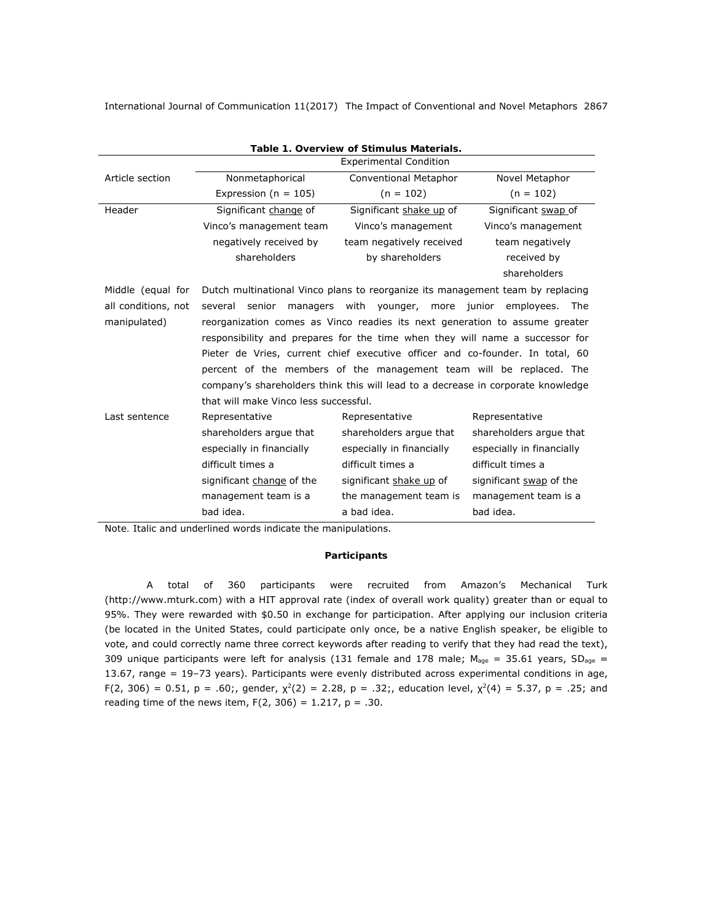| Table 1. Overview of Stimulus Materials. |                                                                                  |                           |                           |  |  |  |  |  |  |
|------------------------------------------|----------------------------------------------------------------------------------|---------------------------|---------------------------|--|--|--|--|--|--|
|                                          | <b>Experimental Condition</b>                                                    |                           |                           |  |  |  |  |  |  |
| Article section                          | Nonmetaphorical                                                                  | Conventional Metaphor     | Novel Metaphor            |  |  |  |  |  |  |
|                                          | Expression ( $n = 105$ )                                                         | $(n = 102)$               | $(n = 102)$               |  |  |  |  |  |  |
| Header                                   | Significant change of                                                            | Significant shake up of   | Significant swap of       |  |  |  |  |  |  |
|                                          | Vinco's management team                                                          | Vinco's management        | Vinco's management        |  |  |  |  |  |  |
|                                          | negatively received by                                                           | team negatively received  | team negatively           |  |  |  |  |  |  |
|                                          | shareholders                                                                     | by shareholders           | received by               |  |  |  |  |  |  |
|                                          |                                                                                  |                           | shareholders              |  |  |  |  |  |  |
| Middle (equal for                        | Dutch multinational Vinco plans to reorganize its management team by replacing   |                           |                           |  |  |  |  |  |  |
| all conditions, not                      | managers with younger, more junior employees.<br>several senior<br>The           |                           |                           |  |  |  |  |  |  |
| manipulated)                             | reorganization comes as Vinco readies its next generation to assume greater      |                           |                           |  |  |  |  |  |  |
|                                          | responsibility and prepares for the time when they will name a successor for     |                           |                           |  |  |  |  |  |  |
|                                          | Pieter de Vries, current chief executive officer and co-founder. In total, 60    |                           |                           |  |  |  |  |  |  |
|                                          | percent of the members of the management team will be replaced. The              |                           |                           |  |  |  |  |  |  |
|                                          | company's shareholders think this will lead to a decrease in corporate knowledge |                           |                           |  |  |  |  |  |  |
|                                          | that will make Vinco less successful.                                            |                           |                           |  |  |  |  |  |  |
| Last sentence                            | Representative                                                                   | Representative            | Representative            |  |  |  |  |  |  |
|                                          | shareholders argue that                                                          | shareholders argue that   | shareholders argue that   |  |  |  |  |  |  |
|                                          | especially in financially                                                        | especially in financially | especially in financially |  |  |  |  |  |  |
|                                          | difficult times a                                                                | difficult times a         | difficult times a         |  |  |  |  |  |  |
|                                          | significant <i>change</i> of the                                                 | significant shake up of   | significant swap of the   |  |  |  |  |  |  |
|                                          | management team is a                                                             | the management team is    | management team is a      |  |  |  |  |  |  |
|                                          | bad idea.                                                                        | a bad idea.               | bad idea.                 |  |  |  |  |  |  |

*Note.* Italic and underlined words indicate the manipulations.

## *Participants*

A total of 360 participants were recruited from Amazon's Mechanical Turk (http://www.mturk.com) with a HIT approval rate (index of overall work quality) greater than or equal to 95%. They were rewarded with \$0.50 in exchange for participation. After applying our inclusion criteria (be located in the United States, could participate only once, be a native English speaker, be eligible to vote, and could correctly name three correct keywords after reading to verify that they had read the text), 309 unique participants were left for analysis (131 female and 178 male; *Mage* = 35.61 years, *SDage =*  13.67, range = 19–73 years). Participants were evenly distributed across experimental conditions in age, *F*(2, 306) = 0.51, *p* = .60;, gender, χ*<sup>2</sup>*(2) = 2.28, *p* = .32;, education level, χ*<sup>2</sup>*(4) = 5.37, *p* = .25; and reading time of the news item, *F*(2, 306) = 1.217, *p* = .30.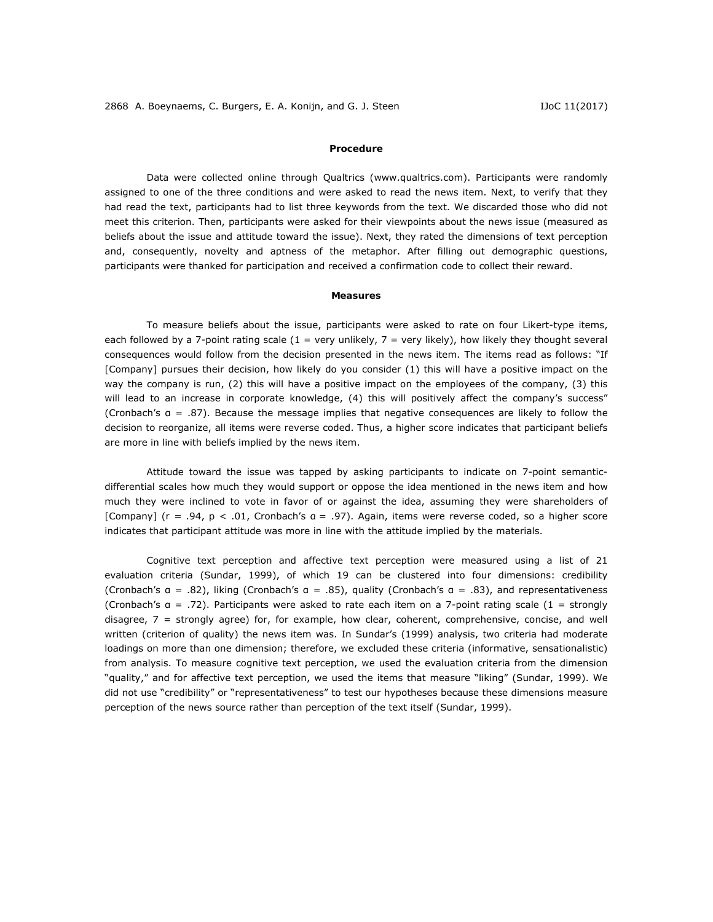#### *Procedure*

Data were collected online through Qualtrics (www.qualtrics.com). Participants were randomly assigned to one of the three conditions and were asked to read the news item. Next, to verify that they had read the text, participants had to list three keywords from the text. We discarded those who did not meet this criterion. Then, participants were asked for their viewpoints about the news issue (measured as beliefs about the issue and attitude toward the issue). Next, they rated the dimensions of text perception and, consequently, novelty and aptness of the metaphor. After filling out demographic questions, participants were thanked for participation and received a confirmation code to collect their reward.

### *Measures*

To measure beliefs about the issue, participants were asked to rate on four Likert-type items, each followed by a 7-point rating scale (1 = *very unlikely*, 7 = *very likely*), how likely they thought several consequences would follow from the decision presented in the news item. The items read as follows: "If [Company] pursues their decision, how likely do you consider (1) this will have a positive impact on the way the company is run, (2) this will have a positive impact on the employees of the company, (3) this will lead to an increase in corporate knowledge, (4) this will positively affect the company's success" (Cronbach's α = .87). Because the message implies that negative consequences are likely to follow the decision to reorganize, all items were reverse coded. Thus, a higher score indicates that participant beliefs are more in line with beliefs implied by the news item.

Attitude toward the issue was tapped by asking participants to indicate on 7-point semanticdifferential scales how much they would support or oppose the idea mentioned in the news item and how much they were inclined to vote in favor of or against the idea, assuming they were shareholders of [Company] (*r =* .94, *p* < .01, Cronbach's α = .97). Again, items were reverse coded, so a higher score indicates that participant attitude was more in line with the attitude implied by the materials.

Cognitive text perception and affective text perception were measured using a list of 21 evaluation criteria (Sundar, 1999), of which 19 can be clustered into four dimensions: credibility (Cronbach's α = .82), liking (Cronbach's α = .85), quality (Cronbach's α = .83), and representativeness (Cronbach's α = .72). Participants were asked to rate each item on a 7-point rating scale (1 = *strongly disagree*, 7 = *strongly agree*) for, for example, how clear, coherent, comprehensive, concise, and well written (criterion of quality) the news item was. In Sundar's (1999) analysis, two criteria had moderate loadings on more than one dimension; therefore, we excluded these criteria (informative, sensationalistic) from analysis. To measure cognitive text perception, we used the evaluation criteria from the dimension "quality," and for affective text perception, we used the items that measure "liking" (Sundar, 1999). We did not use "credibility" or "representativeness" to test our hypotheses because these dimensions measure perception of the news source rather than perception of the text itself (Sundar, 1999).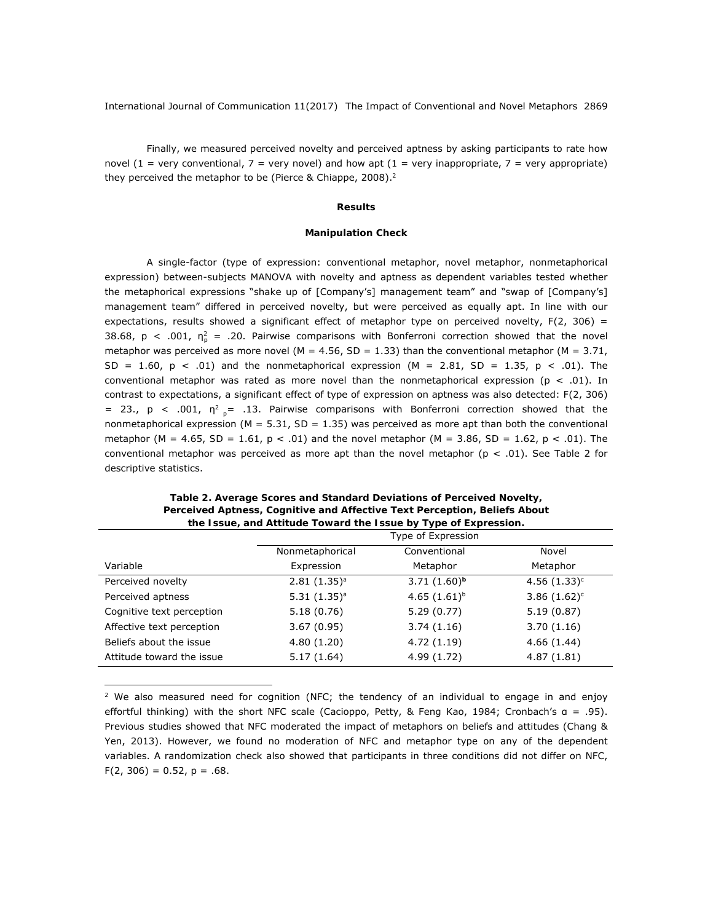Finally, we measured perceived novelty and perceived aptness by asking participants to rate how novel (1 = *very conventional*, 7 = *very novel*) and how apt (1 = *very inappropriate*, 7 = *very appropriate*) they perceived the metaphor to be (Pierce & Chiappe, 2008).<sup>2</sup>

## **Results**

## *Manipulation Check*

A single-factor (type of expression: conventional metaphor, novel metaphor, nonmetaphorical expression) between-subjects MANOVA with novelty and aptness as dependent variables tested whether the metaphorical expressions "*shake up* of [Company's] management team" and "*swap* of [Company's] management team" differed in perceived novelty, but were perceived as equally apt. In line with our expectations, results showed a significant effect of metaphor type on perceived novelty,  $F(2, 306) =$ 38.68,  $p < .001$ ,  $\eta_p^2 = .20$ . Pairwise comparisons with Bonferroni correction showed that the novel metaphor was perceived as more novel ( $M = 4.56$ ,  $SD = 1.33$ ) than the conventional metaphor ( $M = 3.71$ ,  $SD = 1.60$ ,  $p < .01$  and the nonmetaphorical expression ( $M = 2.81$ ,  $SD = 1.35$ ,  $p < .01$ ). The conventional metaphor was rated as more novel than the nonmetaphorical expression (*p <* .01). In contrast to expectations, a significant effect of type of expression on aptness was also detected: *F*(2, 306) = 23.,  $p$  < .001, η<sup>2</sup><sub>p</sub> = .13. Pairwise comparisons with Bonferroni correction showed that the nonmetaphorical expression (*M* = 5.31, *SD* = 1.35) was perceived as more apt than both the conventional metaphor (*M* = 4.65, *SD* = 1.61, *p <* .01) and the novel metaphor (*M* = 3.86, *SD* = 1.62, *p <* .01). The conventional metaphor was perceived as more apt than the novel metaphor ( $p < .01$ ). See Table 2 for descriptive statistics.

|                           | . .<br>Type of Expression |                   |                 |  |  |
|---------------------------|---------------------------|-------------------|-----------------|--|--|
|                           | Nonmetaphorical           | Conventional      | Novel           |  |  |
| Variable                  | Expression                | Metaphor          | Metaphor        |  |  |
| Perceived novelty         | $2.81(1.35)^a$            | $3.71(1.60)^b$    | $4.56(1.33)^c$  |  |  |
| Perceived aptness         | $5.31(1.35)^a$            | 4.65 $(1.61)^{b}$ | 3.86 $(1.62)^c$ |  |  |
| Cognitive text perception | 5.18(0.76)                | 5.29(0.77)        | 5.19(0.87)      |  |  |
| Affective text perception | 3.67(0.95)                | 3.74(1.16)        | 3.70(1.16)      |  |  |
| Beliefs about the issue   | 4.80(1.20)                | 4.72(1.19)        | 4.66(1.44)      |  |  |
| Attitude toward the issue | 5.17(1.64)                | 4.99 (1.72)       | 4.87(1.81)      |  |  |

*Table 2. Average Scores and Standard Deviations of Perceived Novelty, Perceived Aptness, Cognitive and Affective Text Perception, Beliefs About the Issue, and Attitude Toward the Issue by Type of Expression.*

 $2$  We also measured need for cognition (NFC; the tendency of an individual to engage in and enjoy effortful thinking) with the short NFC scale (Cacioppo, Petty, & Feng Kao, 1984; Cronbach's α = .95). Previous studies showed that NFC moderated the impact of metaphors on beliefs and attitudes (Chang & Yen, 2013). However, we found no moderation of NFC and metaphor type on any of the dependent variables. A randomization check also showed that participants in three conditions did not differ on NFC,  $F(2, 306) = 0.52, p = .68$ .

 $\overline{a}$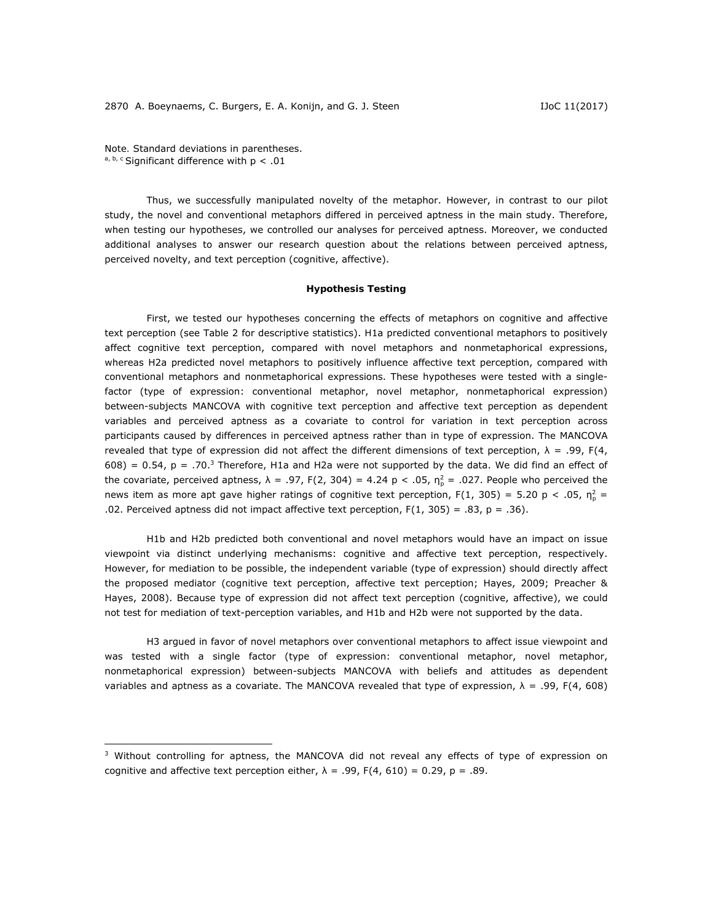*Note.* Standard deviations in parentheses.  $a, b, c$  Significant difference with  $p < .01$ 

 $\overline{a}$ 

Thus, we successfully manipulated novelty of the metaphor. However, in contrast to our pilot study, the novel and conventional metaphors differed in perceived aptness in the main study. Therefore, when testing our hypotheses, we controlled our analyses for perceived aptness. Moreover, we conducted additional analyses to answer our research question about the relations between perceived aptness, perceived novelty, and text perception (cognitive, affective).

## *Hypothesis Testing*

First, we tested our hypotheses concerning the effects of metaphors on cognitive and affective text perception (see Table 2 for descriptive statistics). H1a predicted conventional metaphors to positively affect cognitive text perception, compared with novel metaphors and nonmetaphorical expressions, whereas H2a predicted novel metaphors to positively influence affective text perception, compared with conventional metaphors and nonmetaphorical expressions. These hypotheses were tested with a singlefactor (type of expression: conventional metaphor, novel metaphor, nonmetaphorical expression) between-subjects MANCOVA with cognitive text perception and affective text perception as dependent variables and perceived aptness as a covariate to control for variation in text perception across participants caused by differences in perceived aptness rather than in type of expression. The MANCOVA revealed that type of expression did not affect the different dimensions of text perception,  $\lambda = .99$ ,  $F(4, )$ 608) = 0.54,  $p = .70$ .<sup>3</sup> Therefore, H1a and H2a were not supported by the data. We did find an effect of the covariate, perceived aptness,  $\lambda = .97$ ,  $F(2, 304) = 4.24$   $\rho < .05$ ,  $\eta_p^2 = .027$ . People who perceived the news item as more apt gave higher ratings of cognitive text perception,  $F(1, 305) = 5.20 \, p < .05$ ,  $\eta_p^2 =$ .02. Perceived aptness did not impact affective text perception,  $F(1, 305) = .83$ ,  $p = .36$ ).

H1b and H2b predicted both conventional and novel metaphors would have an impact on issue viewpoint via distinct underlying mechanisms: cognitive and affective text perception, respectively. However, for mediation to be possible, the independent variable (type of expression) should directly affect the proposed mediator (cognitive text perception, affective text perception; Hayes, 2009; Preacher & Hayes, 2008). Because type of expression did not affect text perception (cognitive, affective), we could not test for mediation of text-perception variables, and H1b and H2b were not supported by the data.

H3 argued in favor of novel metaphors over conventional metaphors to affect issue viewpoint and was tested with a single factor (type of expression: conventional metaphor, novel metaphor, nonmetaphorical expression) between-subjects MANCOVA with beliefs and attitudes as dependent variables and aptness as a covariate. The MANCOVA revealed that type of expression, λ = .99, *F*(4, 608)

<sup>&</sup>lt;sup>3</sup> Without controlling for aptness, the MANCOVA did not reveal any effects of type of expression on cognitive and affective text perception either,  $\lambda = .99$ ,  $F(4, 610) = 0.29$ ,  $p = .89$ .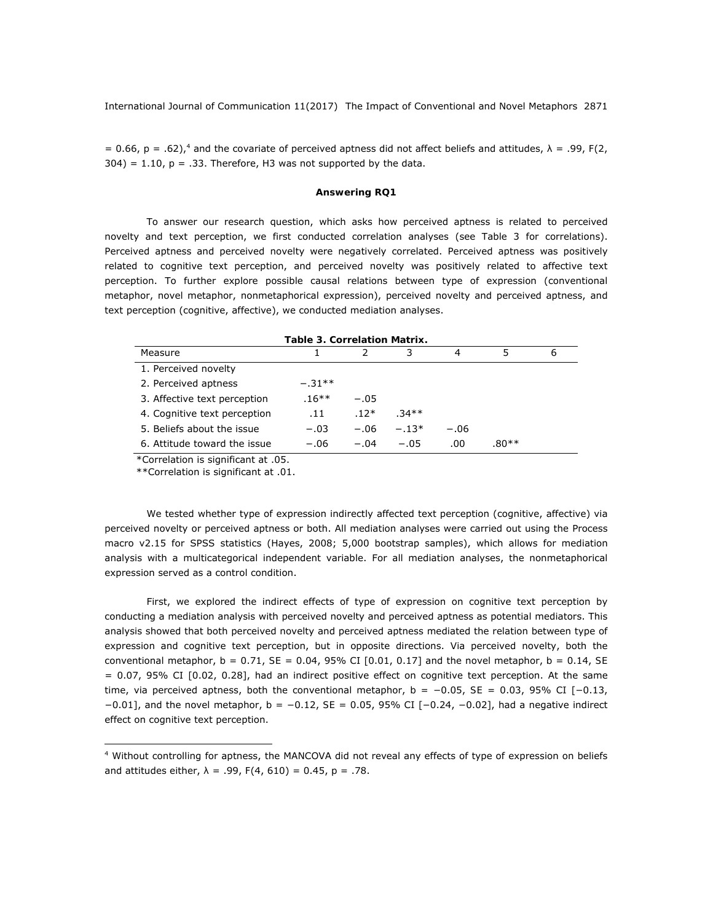= 0.66,  $p = .62$ ),<sup>4</sup> and the covariate of perceived aptness did not affect beliefs and attitudes,  $\lambda = .99$ , *F*(2,  $304$ ) = 1.10,  $p = .33$ . Therefore, H3 was not supported by the data.

## *Answering RQ1*

To answer our research question, which asks how perceived aptness is related to perceived novelty and text perception, we first conducted correlation analyses (see Table 3 for correlations). Perceived aptness and perceived novelty were negatively correlated. Perceived aptness was positively related to cognitive text perception, and perceived novelty was positively related to affective text perception. To further explore possible causal relations between type of expression (conventional metaphor, novel metaphor, nonmetaphorical expression), perceived novelty and perceived aptness, and text perception (cognitive, affective), we conducted mediation analyses.

| Table 3. Correlation Matrix. |          |        |         |        |         |   |  |  |  |
|------------------------------|----------|--------|---------|--------|---------|---|--|--|--|
| Measure                      |          |        | 3       | 4      | 5       | 6 |  |  |  |
| 1. Perceived novelty         |          |        |         |        |         |   |  |  |  |
| 2. Perceived aptness         | $-.31**$ |        |         |        |         |   |  |  |  |
| 3. Affective text perception | $.16***$ | $-.05$ |         |        |         |   |  |  |  |
| 4. Cognitive text perception | .11      | $.12*$ | $.34**$ |        |         |   |  |  |  |
| 5. Beliefs about the issue   | $-.03$   | $-.06$ | $-.13*$ | $-.06$ |         |   |  |  |  |
| 6. Attitude toward the issue | $-.06$   | $-.04$ | $-.05$  | .00    | $.80**$ |   |  |  |  |

\*Correlation is significant at .05.

\*\*Correlation is significant at .01.

 $\overline{a}$ 

We tested whether type of expression indirectly affected text perception (cognitive, affective) via perceived novelty or perceived aptness or both. All mediation analyses were carried out using the Process macro v2.15 for SPSS statistics (Hayes, 2008; 5,000 bootstrap samples), which allows for mediation analysis with a multicategorical independent variable. For all mediation analyses, the nonmetaphorical expression served as a control condition.

First, we explored the indirect effects of type of expression on cognitive text perception by conducting a mediation analysis with perceived novelty and perceived aptness as potential mediators. This analysis showed that both perceived novelty and perceived aptness mediated the relation between type of expression and cognitive text perception, but in opposite directions. Via perceived novelty, both the conventional metaphor,  $b = 0.71$ ,  $SE = 0.04$ ,  $95\%$  CI  $[0.01, 0.17]$  and the novel metaphor,  $b = 0.14$ ,  $SE$ = 0.07, 95% CI [0.02, 0.28], had an indirect positive effect on cognitive text perception. At the same time, via perceived aptness, both the conventional metaphor,  $b = -0.05$ ,  $SE = 0.03$ , 95% CI [-0.13, −0.01], and the novel metaphor, *b* = −0.12, *SE* = 0.05, 95% CI [−0.24, −0.02], had a negative indirect effect on cognitive text perception.

<sup>4</sup> Without controlling for aptness, the MANCOVA did not reveal any effects of type of expression on beliefs and attitudes either, λ = .99, *F*(4, 610) = 0.45, *p* = .78.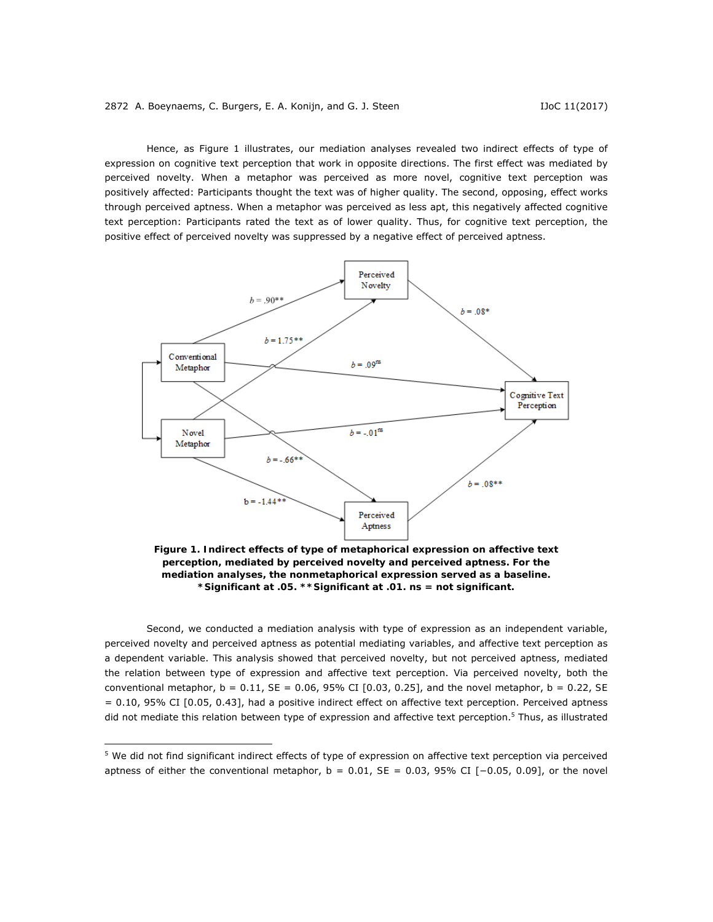Hence, as Figure 1 illustrates, our mediation analyses revealed two indirect effects of type of expression on cognitive text perception that work in opposite directions. The first effect was mediated by perceived novelty. When a metaphor was perceived as more novel, cognitive text perception was positively affected: Participants thought the text was of higher quality. The second, opposing, effect works through perceived aptness. When a metaphor was perceived as less apt, this negatively affected cognitive text perception: Participants rated the text as of lower quality. Thus, for cognitive text perception, the positive effect of perceived novelty was suppressed by a negative effect of perceived aptness.



*Figure 1. Indirect effects of type of metaphorical expression on affective text perception, mediated by perceived novelty and perceived aptness. For the mediation analyses, the nonmetaphorical expression served as a baseline. \*Significant at .05. \*\*Significant at .01. ns = not significant.* 

Second, we conducted a mediation analysis with type of expression as an independent variable, perceived novelty and perceived aptness as potential mediating variables, and affective text perception as a dependent variable. This analysis showed that perceived novelty, but not perceived aptness, mediated the relation between type of expression and affective text perception. Via perceived novelty, both the conventional metaphor,  $b = 0.11$ ,  $SE = 0.06$ , 95% CI [0.03, 0.25], and the novel metaphor,  $b = 0.22$ , *SE* = 0.10, 95% CI [0.05, 0.43], had a positive indirect effect on affective text perception. Perceived aptness did not mediate this relation between type of expression and affective text perception.<sup>5</sup> Thus, as illustrated

 $\overline{a}$ 

<sup>5</sup> We did not find significant indirect effects of type of expression on affective text perception via perceived aptness of either the conventional metaphor, *b* = 0.01, *SE* = 0.03, 95% CI [−0.05, 0.09], or the novel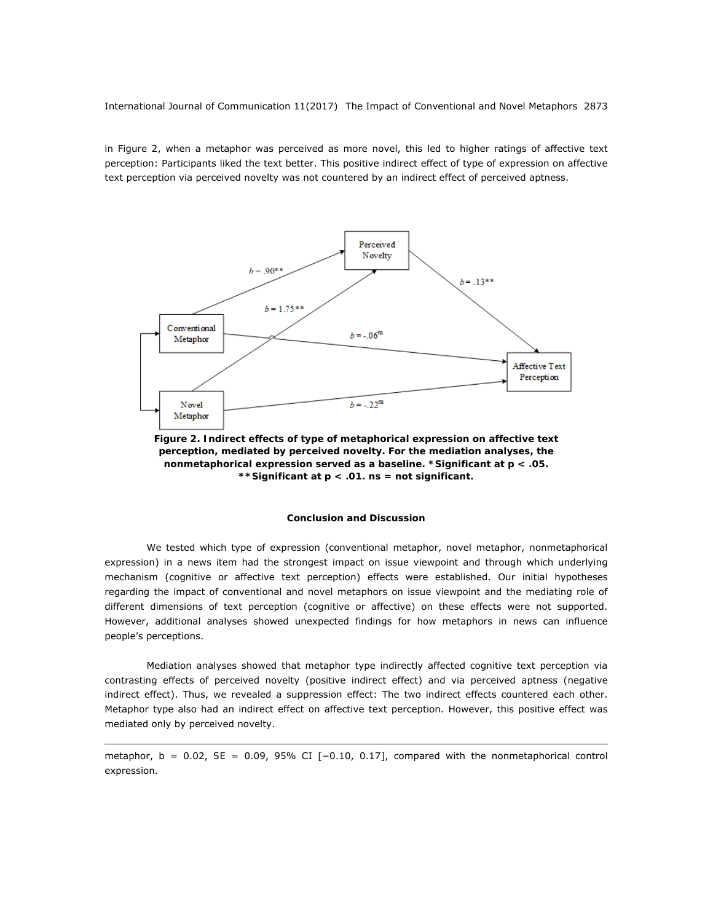in Figure 2, when a metaphor was perceived as more novel, this led to higher ratings of affective text perception: Participants liked the text better. This positive indirect effect of type of expression on affective text perception via perceived novelty was not countered by an indirect effect of perceived aptness.



*Figure 2. Indirect effects of type of metaphorical expression on affective text perception, mediated by perceived novelty. For the mediation analyses, the nonmetaphorical expression served as a baseline. \*Significant at p < .05. \*\*Significant at p < .01. ns = not significant.* 

## **Conclusion and Discussion**

We tested which type of expression (conventional metaphor, novel metaphor, nonmetaphorical expression) in a news item had the strongest impact on issue viewpoint and through which underlying mechanism (cognitive or affective text perception) effects were established. Our initial hypotheses regarding the impact of conventional and novel metaphors on issue viewpoint and the mediating role of different dimensions of text perception (cognitive or affective) on these effects were not supported. However, additional analyses showed unexpected findings for how metaphors in news can influence people's perceptions.

Mediation analyses showed that metaphor type indirectly affected cognitive text perception via contrasting effects of perceived novelty (positive indirect effect) and via perceived aptness (negative indirect effect). Thus, we revealed a suppression effect: The two indirect effects countered each other. Metaphor type also had an indirect effect on affective text perception. However, this positive effect was mediated only by perceived novelty.

metaphor, *b* = 0.02, *SE* = 0.09, 95% CI [−0.10, 0.17], compared with the nonmetaphorical control expression.

 $\overline{a}$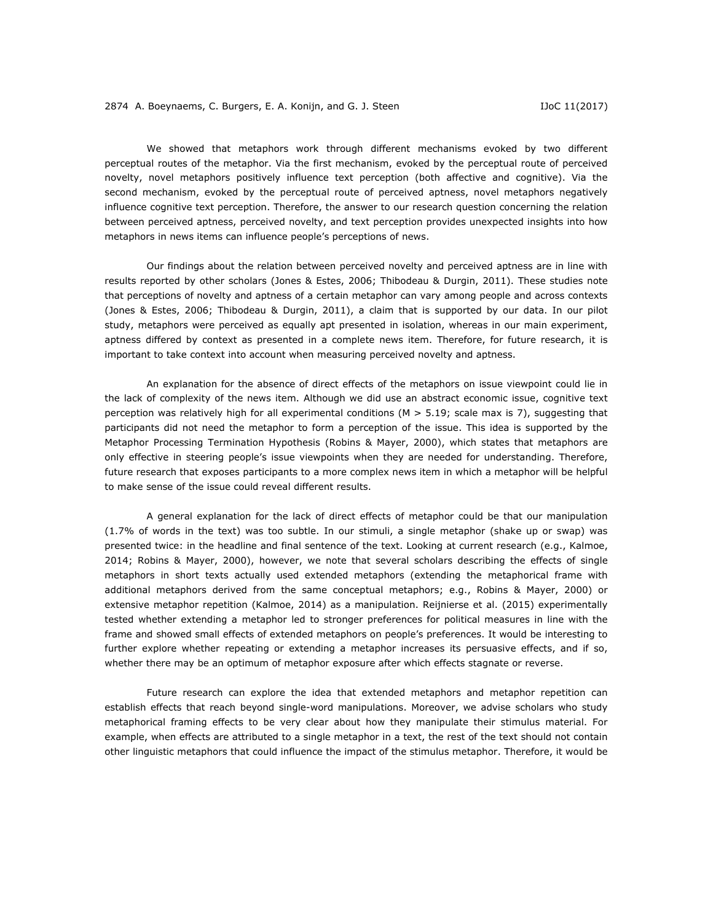We showed that metaphors work through different mechanisms evoked by two different perceptual routes of the metaphor. Via the first mechanism, evoked by the perceptual route of perceived novelty, novel metaphors positively influence text perception (both affective and cognitive). Via the second mechanism, evoked by the perceptual route of perceived aptness, novel metaphors negatively influence cognitive text perception. Therefore, the answer to our research question concerning the relation between perceived aptness, perceived novelty, and text perception provides unexpected insights into how metaphors in news items can influence people's perceptions of news.

Our findings about the relation between perceived novelty and perceived aptness are in line with results reported by other scholars (Jones & Estes, 2006; Thibodeau & Durgin, 2011). These studies note that perceptions of novelty and aptness of a certain metaphor can vary among people and across contexts (Jones & Estes, 2006; Thibodeau & Durgin, 2011), a claim that is supported by our data. In our pilot study, metaphors were perceived as equally apt presented in isolation, whereas in our main experiment, aptness differed by context as presented in a complete news item. Therefore, for future research, it is important to take context into account when measuring perceived novelty and aptness.

An explanation for the absence of direct effects of the metaphors on issue viewpoint could lie in the lack of complexity of the news item. Although we did use an abstract economic issue, cognitive text perception was relatively high for all experimental conditions (*M >* 5.19; scale max is 7), suggesting that participants did not need the metaphor to form a perception of the issue. This idea is supported by the Metaphor Processing Termination Hypothesis (Robins & Mayer, 2000), which states that metaphors are only effective in steering people's issue viewpoints when they are needed for understanding. Therefore, future research that exposes participants to a more complex news item in which a metaphor will be helpful to make sense of the issue could reveal different results.

A general explanation for the lack of direct effects of metaphor could be that our manipulation (1.7% of words in the text) was too subtle. In our stimuli, a single metaphor (*shake up* or *swap*) was presented twice: in the headline and final sentence of the text. Looking at current research (e.g., Kalmoe, 2014; Robins & Mayer, 2000), however, we note that several scholars describing the effects of single metaphors in short texts actually used extended metaphors (extending the metaphorical frame with additional metaphors derived from the same conceptual metaphors; e.g., Robins & Mayer, 2000) or extensive metaphor repetition (Kalmoe, 2014) as a manipulation. Reijnierse et al. (2015) experimentally tested whether extending a metaphor led to stronger preferences for political measures in line with the frame and showed small effects of extended metaphors on people's preferences. It would be interesting to further explore whether repeating or extending a metaphor increases its persuasive effects, and if so, whether there may be an optimum of metaphor exposure after which effects stagnate or reverse.

Future research can explore the idea that extended metaphors and metaphor repetition can establish effects that reach beyond single-word manipulations. Moreover, we advise scholars who study metaphorical framing effects to be very clear about how they manipulate their stimulus material. For example, when effects are attributed to a single metaphor in a text, the rest of the text should not contain other linguistic metaphors that could influence the impact of the stimulus metaphor. Therefore, it would be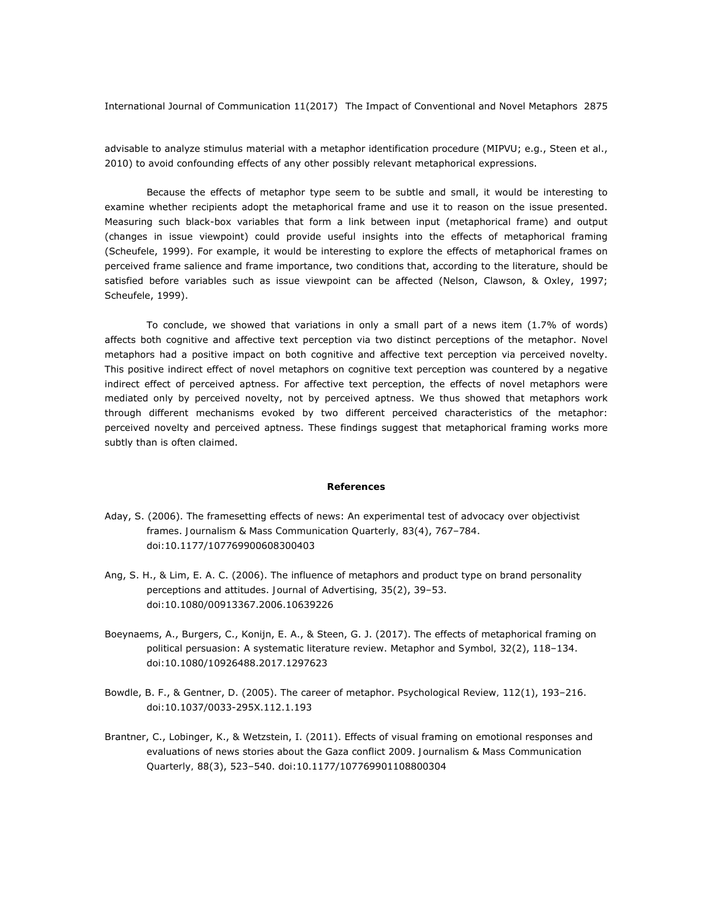advisable to analyze stimulus material with a metaphor identification procedure (MIPVU; e.g., Steen et al., 2010) to avoid confounding effects of any other possibly relevant metaphorical expressions.

Because the effects of metaphor type seem to be subtle and small, it would be interesting to examine whether recipients adopt the metaphorical frame and use it to reason on the issue presented. Measuring such black-box variables that form a link between input (metaphorical frame) and output (changes in issue viewpoint) could provide useful insights into the effects of metaphorical framing (Scheufele, 1999). For example, it would be interesting to explore the effects of metaphorical frames on perceived frame salience and frame importance, two conditions that, according to the literature, should be satisfied before variables such as issue viewpoint can be affected (Nelson, Clawson, & Oxley, 1997; Scheufele, 1999).

To conclude, we showed that variations in only a small part of a news item (1.7% of words) affects both cognitive and affective text perception via two distinct perceptions of the metaphor. Novel metaphors had a positive impact on both cognitive and affective text perception via perceived novelty. This positive indirect effect of novel metaphors on cognitive text perception was countered by a negative indirect effect of perceived aptness. For affective text perception, the effects of novel metaphors were mediated only by perceived novelty, not by perceived aptness. We thus showed that metaphors work through different mechanisms evoked by two different perceived characteristics of the metaphor: perceived novelty and perceived aptness. These findings suggest that metaphorical framing works more subtly than is often claimed.

#### **References**

- Aday, S. (2006). The framesetting effects of news: An experimental test of advocacy over objectivist frames. *Journalism & Mass Communication Quarterly, 83*(4), 767–784. doi:10.1177/107769900608300403
- Ang, S. H., & Lim, E. A. C. (2006). The influence of metaphors and product type on brand personality perceptions and attitudes. *Journal of Advertising, 35*(2), 39–53. doi:10.1080/00913367.2006.10639226
- Boeynaems, A., Burgers, C., Konijn, E. A., & Steen, G. J. (2017). The effects of metaphorical framing on political persuasion: A systematic literature review. *Metaphor and Symbol, 32*(2), 118–134. doi:10.1080/10926488.2017.1297623
- Bowdle, B. F., & Gentner, D. (2005). The career of metaphor. *Psychological Review, 112*(1), 193–216. doi:10.1037/0033-295X.112.1.193
- Brantner, C., Lobinger, K., & Wetzstein, I. (2011). Effects of visual framing on emotional responses and evaluations of news stories about the Gaza conflict 2009. *Journalism & Mass Communication Quarterly, 88*(3), 523–540. doi:10.1177/107769901108800304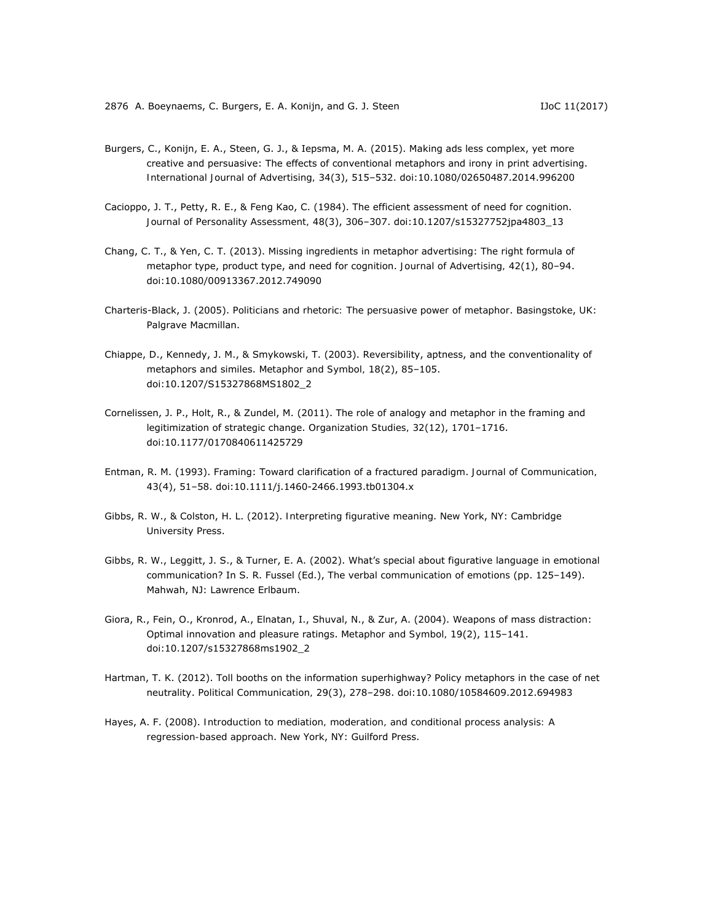- Burgers, C., Konijn, E. A., Steen, G. J., & Iepsma, M. A. (2015). Making ads less complex, yet more creative and persuasive: The effects of conventional metaphors and irony in print advertising. *International Journal of Advertising, 34*(3), 515–532. doi:10.1080/02650487.2014.996200
- Cacioppo, J. T., Petty, R. E., & Feng Kao, C. (1984). The efficient assessment of need for cognition. *Journal of Personality Assessment, 48*(3), 306–307. doi:10.1207/s15327752jpa4803\_13
- Chang, C. T., & Yen, C. T. (2013). Missing ingredients in metaphor advertising: The right formula of metaphor type, product type, and need for cognition. *Journal of Advertising, 42*(1), 80–94. doi:10.1080/00913367.2012.749090
- Charteris-Black, J. (2005). *Politicians and rhetoric: The persuasive power of metaphor*. Basingstoke, UK: Palgrave Macmillan.
- Chiappe, D., Kennedy, J. M., & Smykowski, T. (2003). Reversibility, aptness, and the conventionality of metaphors and similes. *Metaphor and Symbol, 18*(2), 85–105. doi:10.1207/S15327868MS1802\_2
- Cornelissen, J. P., Holt, R., & Zundel, M. (2011). The role of analogy and metaphor in the framing and legitimization of strategic change. *Organization Studies, 32*(12), 1701–1716. doi:10.1177/0170840611425729
- Entman, R. M. (1993). Framing: Toward clarification of a fractured paradigm. *Journal of Communication, 43*(4), 51–58. doi:10.1111/j.1460-2466.1993.tb01304.x
- Gibbs, R. W., & Colston, H. L. (2012). *Interpreting figurative meaning*. New York, NY: Cambridge University Press.
- Gibbs, R. W., Leggitt, J. S., & Turner, E. A. (2002). What's special about figurative language in emotional communication? In S. R. Fussel (Ed.), *The verbal communication of emotions* (pp. 125–149). Mahwah, NJ: Lawrence Erlbaum.
- Giora, R., Fein, O., Kronrod, A., Elnatan, I., Shuval, N., & Zur, A. (2004). Weapons of mass distraction: Optimal innovation and pleasure ratings. *Metaphor and Symbol, 19*(2), 115–141. doi:10.1207/s15327868ms1902\_2
- Hartman, T. K. (2012). Toll booths on the information superhighway? Policy metaphors in the case of net neutrality. *Political Communication, 29*(3), 278–298. doi:10.1080/10584609.2012.694983
- Hayes, A. F. (2008). *Introduction to mediation, moderation, and conditional process analysis: A regression-based approach*. New York, NY: Guilford Press.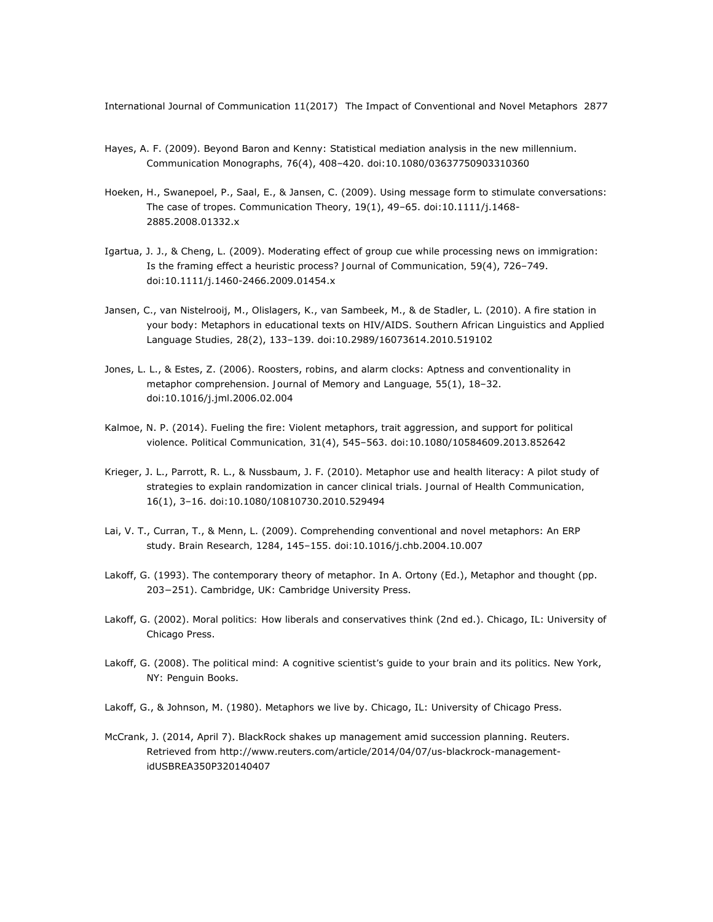- Hayes, A. F. (2009). Beyond Baron and Kenny: Statistical mediation analysis in the new millennium. *Communication Monographs, 76*(4), 408–420. doi:10.1080/03637750903310360
- Hoeken, H., Swanepoel, P., Saal, E., & Jansen, C. (2009). Using message form to stimulate conversations: The case of tropes. *Communication Theory, 19*(1), 49–65. doi:10.1111/j.1468- 2885.2008.01332.x
- Igartua, J. J., & Cheng, L. (2009). Moderating effect of group cue while processing news on immigration: Is the framing effect a heuristic process? *Journal of Communication, 59*(4), 726–749. doi:10.1111/j.1460-2466.2009.01454.x
- Jansen, C., van Nistelrooij, M., Olislagers, K., van Sambeek, M., & de Stadler, L. (2010). A fire station in your body: Metaphors in educational texts on HIV/AIDS. *Southern African Linguistics and Applied Language Studies, 28*(2), 133–139. doi:10.2989/16073614.2010.519102
- Jones, L. L., & Estes, Z. (2006). Roosters, robins, and alarm clocks: Aptness and conventionality in metaphor comprehension. *Journal of Memory and Language, 55*(1), 18–32. doi:10.1016/j.jml.2006.02.004
- Kalmoe, N. P. (2014). Fueling the fire: Violent metaphors, trait aggression, and support for political violence. *Political Communication, 31*(4), 545–563. doi:10.1080/10584609.2013.852642
- Krieger, J. L., Parrott, R. L., & Nussbaum, J. F. (2010). Metaphor use and health literacy: A pilot study of strategies to explain randomization in cancer clinical trials. *Journal of Health Communication, 16*(1), 3–16. doi:10.1080/10810730.2010.529494
- Lai, V. T., Curran, T., & Menn, L. (2009). Comprehending conventional and novel metaphors: An ERP study. *Brain Research, 1284*, 145–155. doi:10.1016/j.chb.2004.10.007
- Lakoff, G. (1993). The contemporary theory of metaphor. In A. Ortony (Ed.), *Metaphor and thought* (pp. 203−251). Cambridge, UK: Cambridge University Press.
- Lakoff, G. (2002). *Moral politics: How liberals and conservatives think* (2nd ed.). Chicago, IL: University of Chicago Press.
- Lakoff, G. (2008). *The political mind: A cognitive scientist's guide to your brain and its politics*. New York, NY: Penguin Books.
- Lakoff, G., & Johnson, M. (1980). *Metaphors we live by*. Chicago, IL: University of Chicago Press.
- McCrank, J. (2014, April 7). BlackRock shakes up management amid succession planning. Reuters. Retrieved from http://www.reuters.com/article/2014/04/07/us-blackrock-managementidUSBREA350P320140407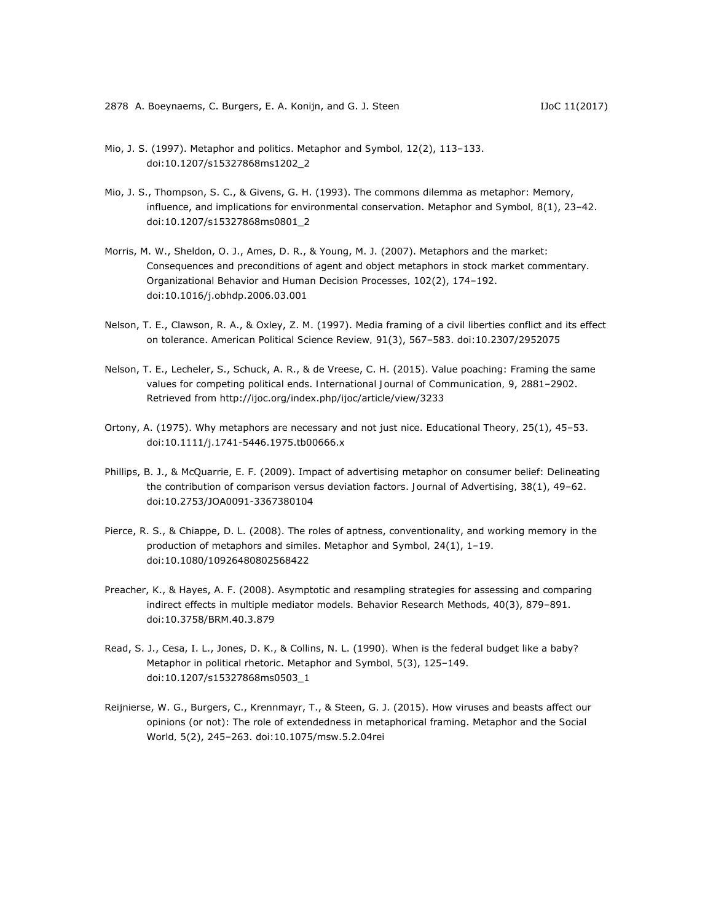- Mio, J. S. (1997). Metaphor and politics. *Metaphor and Symbol, 12*(2), 113–133. doi:10.1207/s15327868ms1202\_2
- Mio, J. S., Thompson, S. C., & Givens, G. H. (1993). The commons dilemma as metaphor: Memory, influence, and implications for environmental conservation. *Metaphor and Symbol, 8*(1), 23–42. doi:10.1207/s15327868ms0801\_2
- Morris, M. W., Sheldon, O. J., Ames, D. R., & Young, M. J. (2007). Metaphors and the market: Consequences and preconditions of agent and object metaphors in stock market commentary. *Organizational Behavior and Human Decision Processes, 102*(2), 174–192. doi:10.1016/j.obhdp.2006.03.001
- Nelson, T. E., Clawson, R. A., & Oxley, Z. M. (1997). Media framing of a civil liberties conflict and its effect on tolerance. *American Political Science Review, 91*(3), 567–583. doi:10.2307/2952075
- Nelson, T. E., Lecheler, S., Schuck, A. R., & de Vreese, C. H. (2015). Value poaching: Framing the same values for competing political ends. *International Journal of Communication, 9*, 2881–2902. Retrieved from http://ijoc.org/index.php/ijoc/article/view/3233
- Ortony, A. (1975). Why metaphors are necessary and not just nice. *Educational Theory, 25*(1), 45–53. doi:10.1111/j.1741-5446.1975.tb00666.x
- Phillips, B. J., & McQuarrie, E. F. (2009). Impact of advertising metaphor on consumer belief: Delineating the contribution of comparison versus deviation factors. *Journal of Advertising, 38*(1), 49–62. doi:10.2753/JOA0091-3367380104
- Pierce, R. S., & Chiappe, D. L. (2008). The roles of aptness, conventionality, and working memory in the production of metaphors and similes. *Metaphor and Symbol, 24*(1), 1–19. doi:10.1080/10926480802568422
- Preacher, K., & Hayes, A. F. (2008). Asymptotic and resampling strategies for assessing and comparing indirect effects in multiple mediator models. *Behavior Research Methods, 40*(3), 879–891. doi:10.3758/BRM.40.3.879
- Read, S. J., Cesa, I. L., Jones, D. K., & Collins, N. L. (1990). When is the federal budget like a baby? Metaphor in political rhetoric. *Metaphor and Symbol, 5*(3), 125–149. doi:10.1207/s15327868ms0503\_1
- Reijnierse, W. G., Burgers, C., Krennmayr, T., & Steen, G. J. (2015). How viruses and beasts affect our opinions (or not): The role of extendedness in metaphorical framing. *Metaphor and the Social World, 5*(2), 245–263. doi:10.1075/msw.5.2.04rei